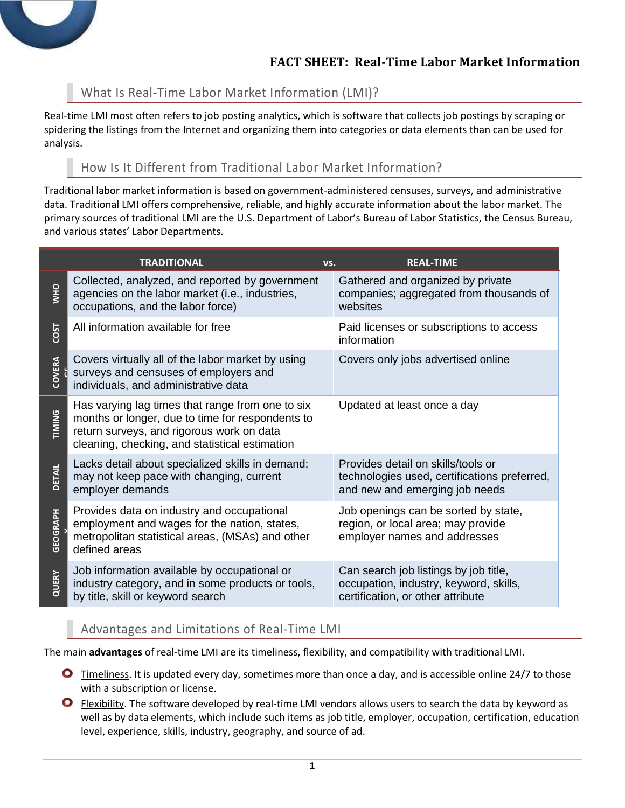

## What Is Real-Time Labor Market Information (LMI)?

Real-time LMI most often refers to job posting analytics, which is software that collects job postings by scraping or spidering the listings from the Internet and organizing them into categories or data elements than can be used for analysis.

## How Is It Different from Traditional Labor Market Information?

Traditional labor market information is based on government-administered censuses, surveys, and administrative data. Traditional LMI offers comprehensive, reliable, and highly accurate information about the labor market. The primary sources of traditional LMI are the U.S. Department of Labor's Bureau of Labor Statistics, the Census Bureau, and various states' Labor Departments.

|                 | <b>TRADITIONAL</b><br>VS.                                                                                                                                                                           | <b>REAL-TIME</b>                                                                                                     |
|-----------------|-----------------------------------------------------------------------------------------------------------------------------------------------------------------------------------------------------|----------------------------------------------------------------------------------------------------------------------|
| <b>OHN</b>      | Collected, analyzed, and reported by government<br>agencies on the labor market (i.e., industries,<br>occupations, and the labor force)                                                             | Gathered and organized by private<br>companies; aggregated from thousands of<br>websites                             |
| 1500            | All information available for free                                                                                                                                                                  | Paid licenses or subscriptions to access<br>information                                                              |
| <b>COVERA</b>   | Covers virtually all of the labor market by using<br>surveys and censuses of employers and<br>individuals, and administrative data                                                                  | Covers only jobs advertised online                                                                                   |
| <b>TIMING</b>   | Has varying lag times that range from one to six<br>months or longer, due to time for respondents to<br>return surveys, and rigorous work on data<br>cleaning, checking, and statistical estimation | Updated at least once a day                                                                                          |
| DETAIL          | Lacks detail about specialized skills in demand;<br>may not keep pace with changing, current<br>employer demands                                                                                    | Provides detail on skills/tools or<br>technologies used, certifications preferred,<br>and new and emerging job needs |
| <b>GEOGRAPH</b> | Provides data on industry and occupational<br>employment and wages for the nation, states,<br>metropolitan statistical areas, (MSAs) and other<br>defined areas                                     | Job openings can be sorted by state,<br>region, or local area; may provide<br>employer names and addresses           |
| QUERY           | Job information available by occupational or<br>industry category, and in some products or tools,<br>by title, skill or keyword search                                                              | Can search job listings by job title,<br>occupation, industry, keyword, skills,<br>certification, or other attribute |

## Advantages and Limitations of Real-Time LMI

The main **advantages** of real-time LMI are its timeliness, flexibility, and compatibility with traditional LMI.

- **O** Timeliness. It is updated every day, sometimes more than once a day, and is accessible online 24/7 to those with a subscription or license.
- **O** Flexibility. The software developed by real-time LMI vendors allows users to search the data by keyword as well as by data elements, which include such items as job title, employer, occupation, certification, education level, experience, skills, industry, geography, and source of ad.